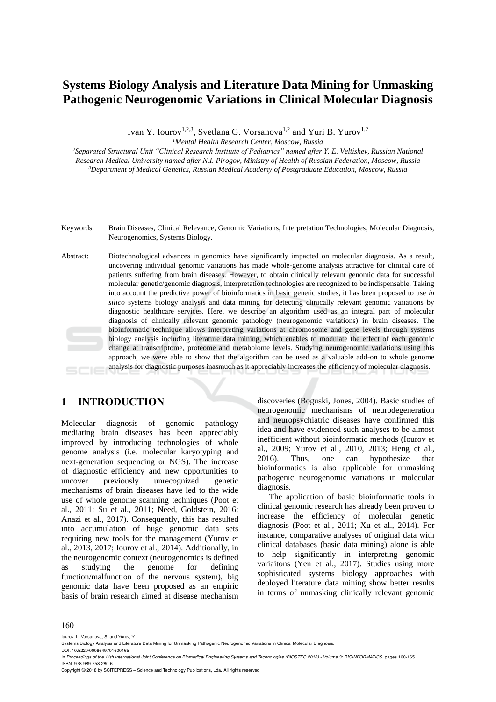# **Systems Biology Analysis and Literature Data Mining for Unmasking Pathogenic Neurogenomic Variations in Clinical Molecular Diagnosis**

Ivan Y. Iourov<sup>1,2,3</sup>, Svetlana G. Vorsanova<sup>1,2</sup> and Yuri B. Yurov<sup>1,2</sup>

*<sup>1</sup>Mental Health Research Center, Moscow, Russia*

*<sup>2</sup>Separated Structural Unit "Clinical Research Institute of Pediatrics" named after Y. E. Veltishev, Russian National Research Medical University named after N.I. Pirogov, Ministry of Health of Russian Federation, Moscow, Russia <sup>3</sup>Department of Medical Genetics, Russian Medical Academy of Postgraduate Education, Moscow, Russia*

- Keywords: Brain Diseases, Clinical Relevance, Genomic Variations, Interpretation Technologies, Molecular Diagnosis, Neurogenomics, Systems Biology.
- Abstract: Biotechnological advances in genomics have significantly impacted on molecular diagnosis. As a result, uncovering individual genomic variations has made whole-genome analysis attractive for clinical care of patients suffering from brain diseases. However, to obtain clinically relevant genomic data for successful molecular genetic/genomic diagnosis, interpretation technologies are recognized to be indispensable. Taking into account the predictive power of bioinformatics in basic genetic studies, it has been proposed to use *in silico* systems biology analysis and data mining for detecting clinically relevant genomic variations by diagnostic healthcare services. Here, we describe an algorithm used as an integral part of molecular diagnosis of clinically relevant genomic pathology (neurogenomic variations) in brain diseases. The bioinformatic technique allows interpreting variations at chromosome and gene levels through systems biology analysis including literature data mining, which enables to modulate the effect of each genomic change at transcriptome, proteome and metabolome levels. Studying neurogenomic variations using this approach, we were able to show that the algorithm can be used as a valuable add-on to whole genome analysis for diagnostic purposes inasmuch as it appreciably increases the efficiency of molecular diagnosis.

### **1 INTRODUCTION**

Molecular diagnosis of genomic pathology mediating brain diseases has been appreciably improved by introducing technologies of whole genome analysis (i.e. molecular karyotyping and next-generation sequencing or NGS). The increase of diagnostic efficiency and new opportunities to uncover previously unrecognized genetic mechanisms of brain diseases have led to the wide use of whole genome scanning techniques (Poot et al., 2011; Su et al., 2011; Need, Goldstein, 2016; Anazi et al., 2017). Consequently, this has resulted into accumulation of huge genomic data sets requiring new tools for the management (Yurov et al., 2013, 2017; Iourov et al., 2014). Additionally, in the neurogenomic context (neurogenomics is defined as studying the genome for defining function/malfunction of the nervous system), big genomic data have been proposed as an empiric basis of brain research aimed at disease mechanism

discoveries (Boguski, Jones, 2004). Basic studies of neurogenomic mechanisms of neurodegeneration and neuropsychiatric diseases have confirmed this idea and have evidenced such analyses to be almost inefficient without bioinformatic methods (Iourov et al., 2009; Yurov et al., 2010, 2013; Heng et al., 2016). Thus, one can hypothesize that bioinformatics is also applicable for unmasking pathogenic neurogenomic variations in molecular diagnosis.

The application of basic bioinformatic tools in clinical genomic research has already been proven to increase the efficiency of molecular genetic diagnosis (Poot et al., 2011; Xu et al., 2014). For instance, comparative analyses of original data with clinical databases (basic data mining) alone is able to help significantly in interpreting genomic variaitons (Yen et al., 2017). Studies using more sophisticated systems biology approaches with deployed literature data mining show better results in terms of unmasking clinically relevant genomic

#### 160

Iourov, I., Vorsanova, S. and Yurov, Y.

In *Proceedings of the 11th International Joint Conference on Biomedical Engineering Systems and Technologies (BIOSTEC 2018) - Volume 3: BIOINFORMATICS*, pages 160-165 ISBN: 978-989-758-280-6

Copyright © 2018 by SCITEPRESS – Science and Technology Publications, Lda. All rights reserved

Systems Biology Analysis and Literature Data Mining for Unmasking Pathogenic Neurogenomic Variations in Clinical Molecular Diagnosis. DOI: 10.5220/0006649701600165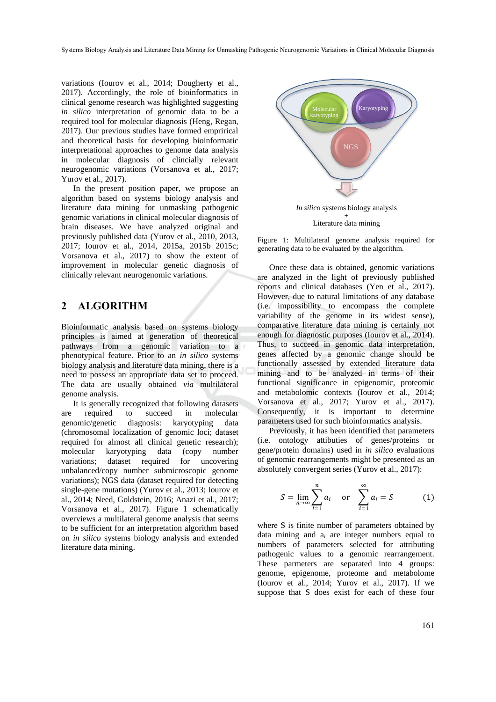variations (Iourov et al., 2014; Dougherty et al., 2017). Accordingly, the role of bioinformatics in clinical genome research was highlighted suggesting *in silico* interpretation of genomic data to be a required tool for molecular diagnosis (Heng, Regan, 2017). Our previous studies have formed emprirical and theoretical basis for developing bioinformatic interpretational approaches to genome data analysis in molecular diagnosis of clincially relevant neurogenomic variations (Vorsanova et al., 2017; Yurov et al., 2017).

In the present position paper, we propose an algorithm based on systems biology analysis and literature data mining for unmasking pathogenic genomic variations in clinical molecular diagnosis of brain diseases. We have analyzed original and previously published data (Yurov et al., 2010, 2013, 2017; Iourov et al., 2014, 2015a, 2015b 2015c; Vorsanova et al., 2017) to show the extent of improvement in molecular genetic diagnosis of clinically relevant neurogenomic variations.

#### **2 ALGORITHM**

Bioinformatic analysis based on systems biology principles is aimed at generation of theoretical pathways from a genomic variation to a phenotypical feature. Prior to an *in silico* systems biology analysis and literature data mining, there is a need to possess an appropriate data set to proceed. The data are usually obtained *via* multilateral genome analysis.

It is generally recognized that following datasets are required to succeed in molecular genomic/genetic diagnosis: karyotyping data (chromosomal localization of genomic loci; dataset required for almost all clinical genetic research); molecular karyotyping data (copy number variations; dataset required for uncovering unbalanced/copy number submicroscopic genome variations); NGS data (dataset required for detecting single-gene mutations) (Yurov et al., 2013; Iourov et al., 2014; Need, Goldstein, 2016; Anazi et al., 2017; Vorsanova et al., 2017). Figure 1 schematically overviews a multilateral genome analysis that seems to be sufficient for an interpretation algorithm based on *in silico* systems biology analysis and extended literature data mining.



Figure 1: Multilateral genome analysis required for generating data to be evaluated by the algorithm.

Once these data is obtained, genomic variations are analyzed in the light of previously published reports and clinical databases (Yen et al., 2017). However, due to natural limitations of any database (i.e. impossibility to encompass the complete variability of the genome in its widest sense), comparative literature data mining is certainly not enough for diagnostic purposes (Iourov et al., 2014). Thus, to succeed in genomic data interpretation, genes affected by a genomic change should be functionally assessed by extended literature data mining and to be analyzed in terms of their functional significance in epigenomic, proteomic and metabolomic contexts (Iourov et al., 2014; Vorsanova et al., 2017; Yurov et al., 2017). Consequently, it is important to determine parameters used for such bioinformatics analysis.

Previously, it has been identified that parameters (i.e. ontology attibuties of genes/proteins or gene/protein domains) used in *in silico* evaluations of genomic rearrangements might be presented as an absolutely convergent series (Yurov et al., 2017):

$$
S = \lim_{n \to \infty} \sum_{i=1}^{n} a_i \quad \text{or} \quad \sum_{i=1}^{\infty} a_i = S \tag{1}
$$

where S is finite number of parameters obtained by data mining and a*<sup>i</sup>* are integer numbers equal to numbers of parameters selected for attributing pathogenic values to a genomic rearrangement. These parmeters are separated into 4 groups: genome, epigenome, proteome and metabolome (Iourov et al., 2014; Yurov et al., 2017). If we suppose that S does exist for each of these four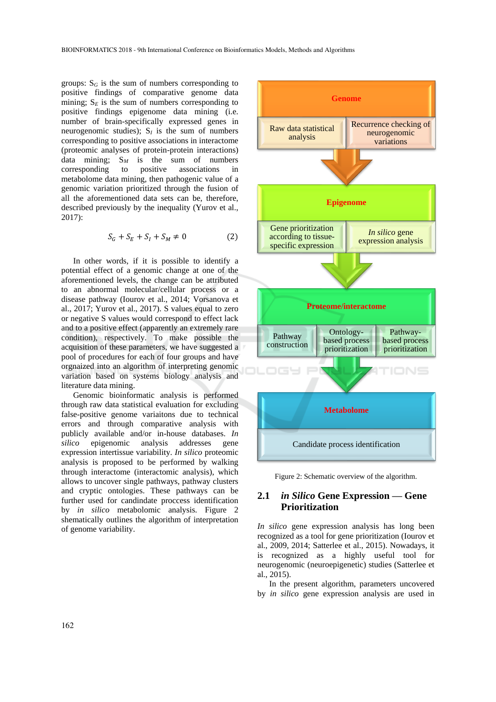groups:  $S_G$  is the sum of numbers corresponding to positive findings of comparative genome data mining;  $S_E$  is the sum of numbers corresponding to positive findings epigenome data mining (i.e. number of brain-specifically expressed genes in neurogenomic studies);  $S_I$  is the sum of numbers corresponding to positive associations in interactome (proteomic analyses of protein-protein interactions) data mining;  $S_M$  is the sum of numbers corresponding to positive associations in corresponding to positive associations in metabolome data mining, then pathogenic value of a genomic variation prioritized through the fusion of all the aforementioned data sets can be, therefore, described previously by the inequality (Yurov et al., 2017):

$$
S_G + S_E + S_I + S_M \neq 0 \tag{2}
$$

In other words, if it is possible to identify a potential effect of a genomic change at one of the aforementioned levels, the change can be attributed to an abnormal molecular/cellular process or a disease pathway (Iourov et al., 2014; Vorsanova et al., 2017; Yurov et al., 2017). S values equal to zero or negative S values would correspond to effect lack and to a positive effect (apparently an extremely rare condition), respectively. To make possible the acquisition of these parameters, we have suggested a pool of procedures for each of four groups and have orgnaized into an algorithm of interpreting genomic variation based on systems biology analysis and literature data mining.

Genomic bioinformatic analysis is performed through raw data statistical evaluation for excluding false-positive genome variaitons due to technical errors and through comparative analysis with publicly available and/or in-house databases. *In silico* epigenomic analysis addresses gene expression intertissue variability. *In silico* proteomic analysis is proposed to be performed by walking through interactome (interactomic analysis), which allows to uncover single pathways, pathway clusters and cryptic ontologies. These pathways can be further used for candindate proccess identification by *in silico* metabolomic analysis. Figure 2 shematically outlines the algorithm of interpretation of genome variability.





#### **2.1** *in Silico* **Gene Expression — Gene Prioritization**

*In silico* gene expression analysis has long been recognized as a tool for gene prioritization (Iourov et al., 2009, 2014; Satterlee et al., 2015). Nowadays, it is recognized as a highly useful tool for neurogenomic (neuroepigenetic) studies (Satterlee et al., 2015).

In the present algorithm, parameters uncovered by *in silico* gene expression analysis are used in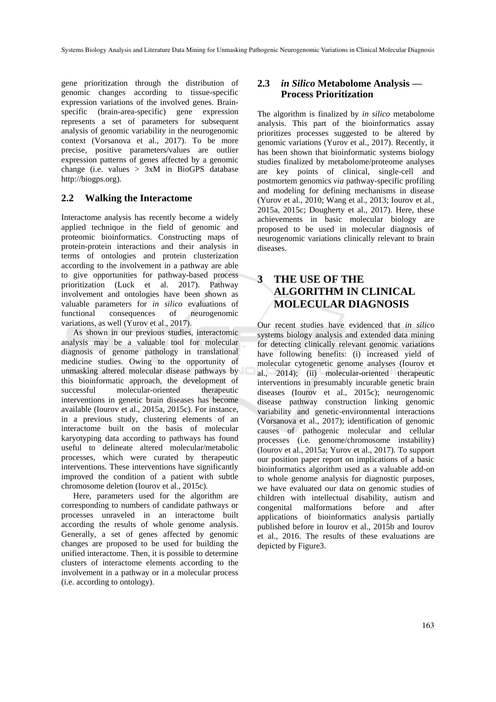gene prioritization through the distribution of genomic changes according to tissue-specific expression variations of the involved genes. Brainspecific (brain-area-specific) gene expression represents a set of parameters for subsequent analysis of genomic variability in the neurogenomic context (Vorsanova et al., 2017). To be more precise, positive parameters/values are outlier expression patterns of genes affected by a genomic change (i.e. values  $> 3xM$  in BioGPS database http://biogps.org).

#### **2.2 Walking the Interactome**

Interactome analysis has recently become a widely applied technique in the field of genomic and proteomic bioinformatics. Constructing maps of protein-protein interactions and their analysis in terms of ontologies and protein clusterization according to the involvement in a pathway are able to give opportunities for pathway-based process prioritization (Luck et al. 2017). Pathway involvement and ontologies have been shown as valuable parameters for *in silico* evaluations of functional consequences of neurogenomic variations, as well (Yurov et al., 2017).

As shown in our previous studies, interactomic analysis may be a valuable tool for molecular diagnosis of genome pathology in translational medicine studies. Owing to the opportunity of unmasking altered molecular disease pathways by this bioinformatic approach, the development of successful molecular-oriented therapeutic interventions in genetic brain diseases has become available (Iourov et al., 2015a, 2015c). For instance, in a previous study, clustering elements of an interactome built on the basis of molecular karyotyping data according to pathways has found useful to delineate altered molecular/metabolic processes, which were curated by therapeutic interventions. These interventions have significantly improved the condition of a patient with subtle chromosome deletion (Iourov et al., 2015c).

Here, parameters used for the algorithm are corresponding to numbers of candidate pathways or processes unraveled in an interactome built according the results of whole genome analysis. Generally, a set of genes affected by genomic changes are proposed to be used for building the unified interactome. Then, it is possible to determine clusters of interactome elements according to the involvement in a pathway or in a molecular process (i.e. according to ontology).

#### **2.3** *in Silico* **Metabolome Analysis — Process Prioritization**

The algorithm is finalized by *in silico* metabolome analysis. This part of the bioinformatics assay prioritizes processes suggested to be altered by genomic variations (Yurov et al., 2017). Recently, it has been shown that bioinformatic systems biology studies finalized by metabolome/proteome analyses are key points of clinical, single-cell and postmortem genomics *via* pathway-specific profiling and modeling for defining mechanisms in disease (Yurov et al., 2010; Wang et al., 2013; Iourov et al., 2015a, 2015c; Dougherty et al., 2017). Here, these achievements in basic molecular biology are proposed to be used in molecular diagnosis of neurogenomic variations clinically relevant to brain diseases.

## **3 THE USE OF THE ALGORITHM IN CLINICAL MOLECULAR DIAGNOSIS**

Our recent studies have evidenced that *in silico* systems biology analysis and extended data mining for detecting clinically relevant genomic variations have following benefits: (i) increased yield of molecular cytogenetic genome analyses (Iourov et al., 2014); (ii) molecular-oriented therapeutic interventions in presumably incurable genetic brain diseases (Iourov et al., 2015c); neurogenomic disease pathway construction linking genomic variability and genetic-environmental interactions (Vorsanova et al., 2017); identification of genomic causes of pathogenic molecular and cellular processes (i.e. genome/chromosome instability) (Iourov et al., 2015a; Yurov et al., 2017). To support our position paper report on implications of a basic bioinformatics algorithm used as a valuable add-on to whole genome analysis for diagnostic purposes, we have evaluated our data on genomic studies of children with intellectual disability, autism and congenital malformations before and after applications of bioinformatics analysis partially published before in Iourov et al., 2015b and Iourov et al., 2016. The results of these evaluations are depicted by Figure3.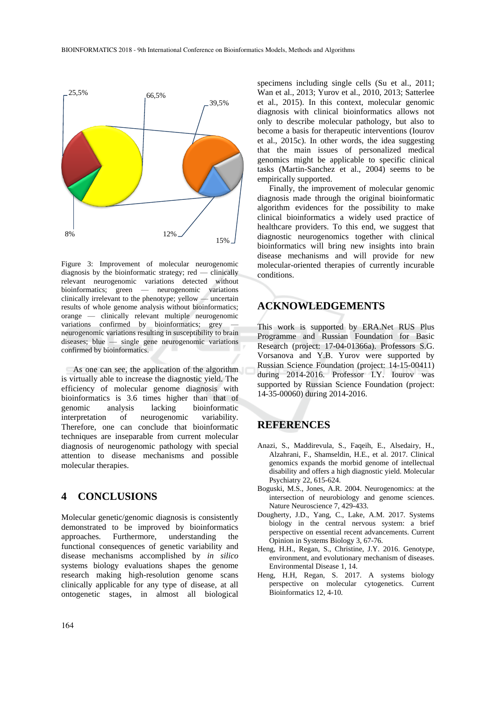

Figure 3: Improvement of molecular neurogenomic diagnosis by the bioinformatic strategy; red — clinically relevant neurogenomic variations detected without bioinformatics; green — neurogenomic variations clinically irrelevant to the phenotype; yellow — uncertain results of whole genome analysis without bioinformatics; orange — clinically relevant multiple neurogenomic variations confirmed by bioinformatics; grey neurogenomic variations resulting in susceptibility to brain diseases; blue — single gene neurogenomic variations confirmed by bioinformatics.

As one can see, the application of the algorithm is virtually able to increase the diagnostic yield. The efficiency of molecular genome diagnosis with bioinformatics is 3.6 times higher than that of genomic analysis lacking bioinformatic interpretation of neurogenomic variability. Therefore, one can conclude that bioinformatic techniques are inseparable from current molecular diagnosis of neurogenomic pathology with special attention to disease mechanisms and possible molecular therapies.

#### **4 CONCLUSIONS**

Molecular genetic/genomic diagnosis is consistently demonstrated to be improved by bioinformatics approaches. Furthermore, understanding the functional consequences of genetic variability and disease mechanisms accomplished by *in silico*  systems biology evaluations shapes the genome research making high-resolution genome scans clinically applicable for any type of disease, at all ontogenetic stages, in almost all biological

specimens including single cells (Su et al., 2011; Wan et al., 2013; Yurov et al., 2010, 2013; Satterlee et al., 2015). In this context, molecular genomic diagnosis with clinical bioinformatics allows not only to describe molecular pathology, but also to become a basis for therapeutic interventions (Iourov et al., 2015c). In other words, the idea suggesting that the main issues of personalized medical genomics might be applicable to specific clinical tasks (Martin-Sanchez et al., 2004) seems to be empirically supported.

Finally, the improvement of molecular genomic diagnosis made through the original bioinformatic algorithm evidences for the possibility to make clinical bioinformatics a widely used practice of healthcare providers. To this end, we suggest that diagnostic neurogenomics together with clinical bioinformatics will bring new insights into brain disease mechanisms and will provide for new molecular-oriented therapies of currently incurable conditions.

### **ACKNOWLEDGEMENTS**

This work is supported by ERA.Net RUS Plus Programme and Russian Foundation for Basic Research (project: 17-04-01366a). Professors S.G. Vorsanova and Y.B. Yurov were supported by Russian Science Foundation (project: 14-15-00411) during 2014-2016. Professor I.Y. Iourov was supported by Russian Science Foundation (project: 14-35-00060) during 2014-2016.

#### **REFERENCES**

- Anazi, S., Maddirevula, S., Faqeih, E., Alsedairy, H., Alzahrani, F., Shamseldin, H.E., et al. 2017. Clinical genomics expands the morbid genome of intellectual disability and offers a high diagnostic yield. Molecular Psychiatry 22, 615-624.
- Boguski, M.S., Jones, A.R. 2004. Neurogenomics: at the intersection of neurobiology and genome sciences. Nature Neuroscience 7, 429-433.
- Dougherty, J.D., Yang, C., Lake, A.M. 2017. Systems biology in the central nervous system: a brief perspective on essential recent advancements. Current Opinion in Systems Biology 3, 67-76.
- Heng, H.H., Regan, S., Christine, J.Y. 2016. Genotype, environment, and evolutionary mechanism of diseases. Environmental Disease 1, 14.
- Heng, H.H, Regan, S. 2017. A systems biology perspective on molecular cytogenetics. Current Bioinformatics 12, 4-10.